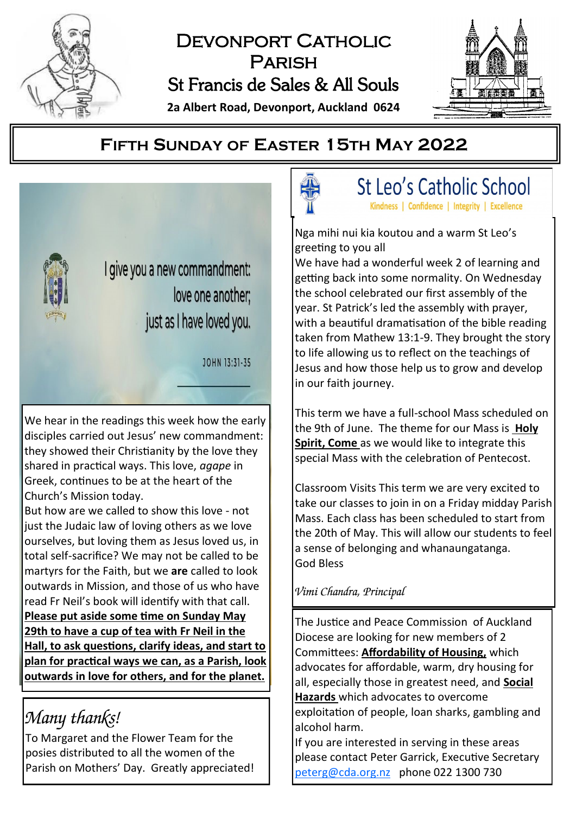

# DEVONPORT CATHOLIC Parish St Francis de Sales & All Souls





# **FIFTH SUNDAY OF EASTER 15TH MAY 2022**



We hear in the readings this week how the early disciples carried out Jesus' new commandment: they showed their Christianity by the love they shared in practical ways. This love, *agape* in Greek, continues to be at the heart of the Church's Mission today.

But how are we called to show this love - not just the Judaic law of loving others as we love ourselves, but loving them as Jesus loved us, in total self-sacrifice? We may not be called to be martyrs for the Faith, but we **are** called to look outwards in Mission, and those of us who have read Fr Neil's book will identify with that call. **Please put aside some time on Sunday May 29th to have a cup of tea with Fr Neil in the Hall, to ask questions, clarify ideas, and start to plan for practical ways we can, as a Parish, look outwards in love for others, and for the planet.**

# *Many thanks!*

To Margaret and the Flower Team for the posies distributed to all the women of the Parish on Mothers' Day. Greatly appreciated!

St Leo's Catholic School

Kindness | Confidence | Integrity | Excellence

Nga mihi nui kia koutou and a warm St Leo's greeting to you all

We have had a wonderful week 2 of learning and getting back into some normality. On Wednesday the school celebrated our first assembly of the year. St Patrick's led the assembly with prayer, with a beautiful dramatisation of the bible reading taken from Mathew 13:1-9. They brought the story to life allowing us to reflect on the teachings of Jesus and how those help us to grow and develop in our faith journey.

This term we have a full-school Mass scheduled on the 9th of June. The theme for our Mass is **Holy Spirit, Come** as we would like to integrate this special Mass with the celebration of Pentecost.

Classroom Visits This term we are very excited to take our classes to join in on a Friday midday Parish Mass. Each class has been scheduled to start from the 20th of May. This will allow our students to feel a sense of belonging and whanaungatanga. God Bless

# *Vimi Chandra, Principal*

The Justice and Peace Commission of Auckland Diocese are looking for new members of 2 Committees: **Affordability of Housing,** which advocates for affordable, warm, dry housing for all, especially those in greatest need, and **Social Hazards** which advocates to overcome exploitation of people, loan sharks, gambling and alcohol harm.

If you are interested in serving in these areas please contact Peter Garrick, Executive Secretary [peterg@cda.org.nz](mailto:peterg@cda.org.nz) phone 022 1300 730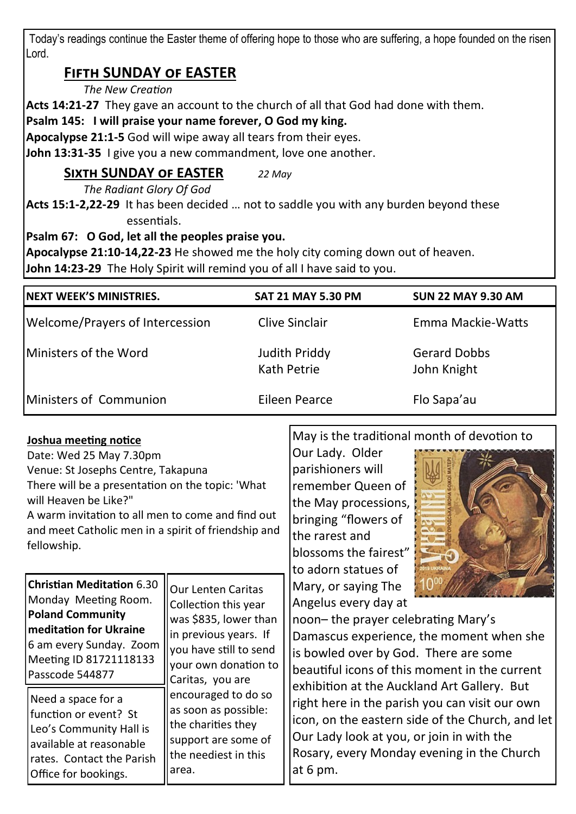Today's readings continue the Easter theme of offering hope to those who are suffering, a hope founded on the risen Lord.

# **Fifth SUNDAY of EASTER**

#### *The New Creation*

**Acts 14:21-27** They gave an account to the church of all that God had done with them.

**Psalm 145: I will praise your name forever, O God my king.**

**Apocalypse 21:1-5** God will wipe away all tears from their eyes.

**John 13:31-35** I give you a new commandment, love one another.

# **Sixth SUNDAY of EASTER** *22 May*

*The Radiant Glory Of God*

**Acts 15:1-2,22-29** It has been decided … not to saddle you with any burden beyond these essentials.

## **Psalm 67: O God, let all the peoples praise you.**

**Apocalypse 21:10-14,22-23** He showed me the holy city coming down out of heaven.

**John 14:23-29** The Holy Spirit will remind you of all I have said to you.

| <b>INEXT WEEK'S MINISTRIES.</b> | <b>SAT 21 MAY 5.30 PM</b>    | <b>SUN 22 MAY 9.30 AM</b>          |
|---------------------------------|------------------------------|------------------------------------|
| Welcome/Prayers of Intercession | Clive Sinclair               | Emma Mackie-Watts                  |
| <b>IMinisters of the Word</b>   | Judith Priddy<br>Kath Petrie | <b>Gerard Dobbs</b><br>John Knight |
| <b>IMinisters of Communion</b>  | Eileen Pearce                | Flo Sapa'au                        |

### **Joshua meeting notice**

Date: Wed 25 May 7.30pm Venue: St Josephs Centre, Takapuna There will be a presentation on the topic: 'What will Heaven be Like?" A warm invitation to all men to come and find out and meet Catholic men in a spirit of friendship and fellowship.

**Christian Meditation** 6.30 Monday Meeting Room. **Poland Community meditation for Ukraine**  6 am every Sunday. Zoom Meeting ID 81721118133 Passcode 544877 Our Lenten Caritas Collection this year was \$835, lower than in previous years. If you have still to send your own donation to Caritas, you are encouraged to do so as soon as possible: the charities they support are some of the neediest in this area. Need a space for a function or event? St Leo's Community Hall is available at reasonable rates. Contact the Parish Office for bookings.

May is the traditional month of devotion to

Our Lady. Older parishioners will remember Queen of the May processions, bringing "flowers of the rarest and blossoms the fairest" to adorn statues of Mary, or saying The Angelus every day at



noon– the prayer celebrating Mary's Damascus experience, the moment when she is bowled over by God. There are some beautiful icons of this moment in the current exhibition at the Auckland Art Gallery. But right here in the parish you can visit our own icon, on the eastern side of the Church, and let Our Lady look at you, or join in with the Rosary, every Monday evening in the Church at 6 pm.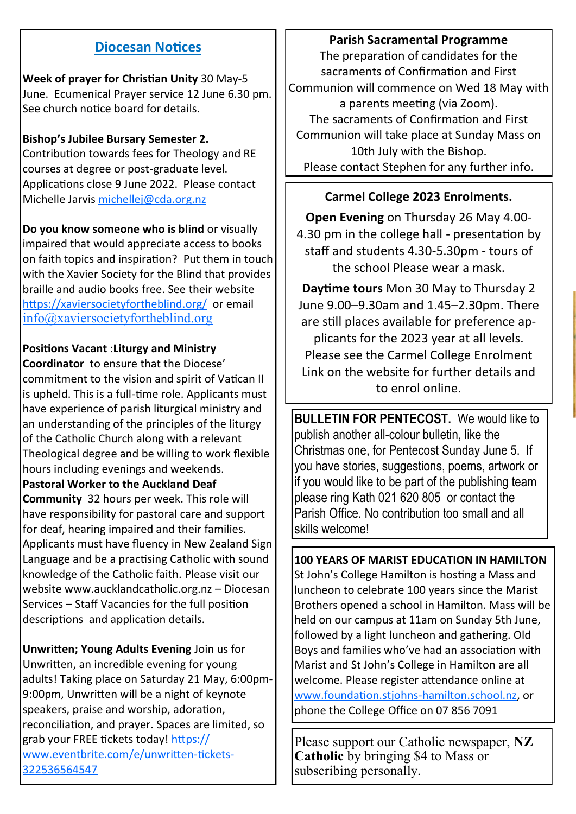## **Diocesan Notices**

**Week of prayer for Christian Unity** 30 May-5 June. Ecumenical Prayer service 12 June 6.30 pm. See church notice board for details.

### **Bishop's Jubilee Bursary Semester 2.**

Contribution towards fees for Theology and RE courses at degree or post-graduate level. Applications close 9 June 2022. Please contact Michelle Jarvis [michellej@cda.org.nz](mailto:michellej@cda.org.nz)

**Do you know someone who is blind** or visually impaired that would appreciate access to books on faith topics and inspiration? Put them in touch with the Xavier Society for the Blind that provides braille and audio books free. See their website <https://xaviersocietyfortheblind.org/>or email [info@xaviersocietyfortheblind.org](mailto:info@xaviersocietyfortheblind.org)

#### **Positions Vacant** :**Liturgy and Ministry**

**Coordinator** to ensure that the Diocese' commitment to the vision and spirit of Vatican II is upheld. This is a full-time role. Applicants must have experience of parish liturgical ministry and an understanding of the principles of the liturgy of the Catholic Church along with a relevant Theological degree and be willing to work flexible hours including evenings and weekends.

#### **Pastoral Worker to the Auckland Deaf**

**Community** 32 hours per week. This role will have responsibility for pastoral care and support for deaf, hearing impaired and their families. Applicants must have fluency in New Zealand Sign Language and be a practising Catholic with sound knowledge of the Catholic faith. Please visit our website www.aucklandcatholic.org.nz – Diocesan Services – Staff Vacancies for the full position descriptions and application details.

**Unwritten; Young Adults Evening** Join us for Unwritten, an incredible evening for young adults! Taking place on Saturday 21 May, 6:00pm-9:00pm, Unwritten will be a night of keynote speakers, praise and worship, adoration, reconciliation, and prayer. Spaces are limited, so grab your FREE tickets today! [https://](https://www.eventbrite.com/e/unwritten-tickets-322536564547) [www.eventbrite.com/e/unwritten](https://www.eventbrite.com/e/unwritten-tickets-322536564547)-tickets-[322536564547](https://www.eventbrite.com/e/unwritten-tickets-322536564547)

#### **Parish Sacramental Programme**

The preparation of candidates for the sacraments of Confirmation and First Communion will commence on Wed 18 May with a parents meeting (via Zoom). The sacraments of Confirmation and First Communion will take place at Sunday Mass on 10th July with the Bishop. Please contact Stephen for any further info.

### **Carmel College 2023 Enrolments.**

**Open Evening** on Thursday 26 May 4.00- 4.30 pm in the college hall - presentation by staff and students 4.30-5.30pm - tours of the school Please wear a mask.

**Daytime tours** Mon 30 May to Thursday 2 June 9.00–9.30am and 1.45–2.30pm. There are still places available for preference applicants for the 2023 year at all levels. Please see the Carmel College Enrolment Link on the website for further details and to enrol online.

**BULLETIN FOR PENTECOST**. We would like to publish another all-colour bulletin, like the Christmas one, for Pentecost Sunday June 5. If you have stories, suggestions, poems, artwork or if you would like to be part of the publishing team please ring Kath 021 620 805 or contact the Parish Office. No contribution too small and all skills welcome!

**100 YEARS OF MARIST EDUCATION IN HAMILTON** St John's College Hamilton is hosting a Mass and luncheon to celebrate 100 years since the Marist Brothers opened a school in Hamilton. Mass will be held on our campus at 11am on Sunday 5th June, followed by a light luncheon and gathering. Old Boys and families who've had an association with Marist and St John's College in Hamilton are all welcome. Please register attendance online at [www.foundation.stjohns](http://www.foundation.stjohns-hamilton.school.nz)-hamilton.school.nz, or phone the College Office on 07 856 7091

Please support our Catholic newspaper, **NZ Catholic** by bringing \$4 to Mass or subscribing personally.